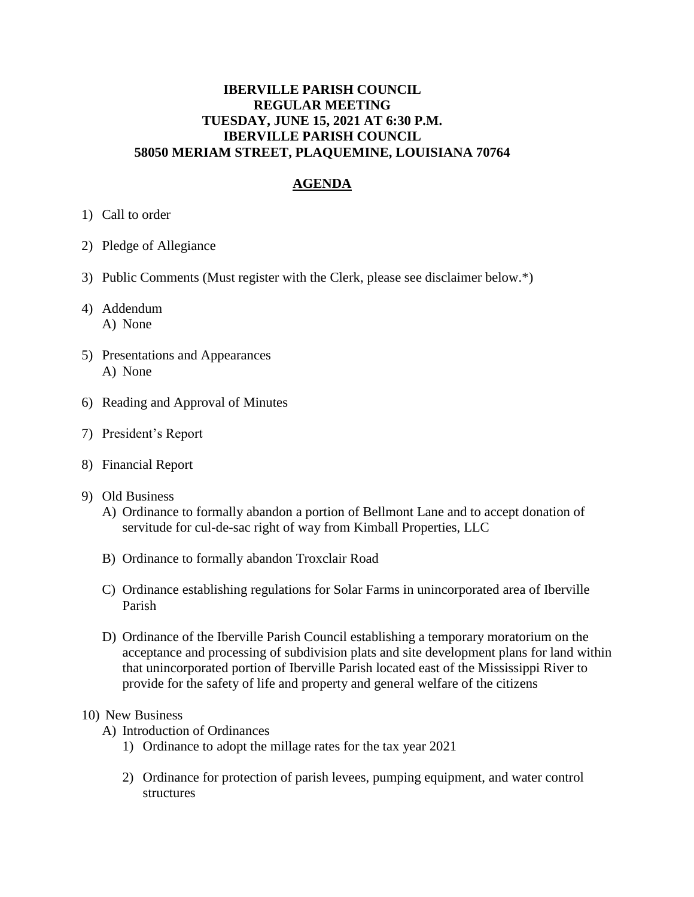## **IBERVILLE PARISH COUNCIL REGULAR MEETING TUESDAY, JUNE 15, 2021 AT 6:30 P.M. IBERVILLE PARISH COUNCIL 58050 MERIAM STREET, PLAQUEMINE, LOUISIANA 70764**

## **AGENDA**

- 1) Call to order
- 2) Pledge of Allegiance
- 3) Public Comments (Must register with the Clerk, please see disclaimer below.\*)
- 4) Addendum A) None
- 5) Presentations and Appearances A) None
- 6) Reading and Approval of Minutes
- 7) President's Report
- 8) Financial Report
- 9) Old Business
	- A) Ordinance to formally abandon a portion of Bellmont Lane and to accept donation of servitude for cul-de-sac right of way from Kimball Properties, LLC
	- B) Ordinance to formally abandon Troxclair Road
	- C) Ordinance establishing regulations for Solar Farms in unincorporated area of Iberville Parish
	- D) Ordinance of the Iberville Parish Council establishing a temporary moratorium on the acceptance and processing of subdivision plats and site development plans for land within that unincorporated portion of Iberville Parish located east of the Mississippi River to provide for the safety of life and property and general welfare of the citizens

## 10) New Business

- A) Introduction of Ordinances
	- 1) Ordinance to adopt the millage rates for the tax year 2021
	- 2) Ordinance for protection of parish levees, pumping equipment, and water control structures